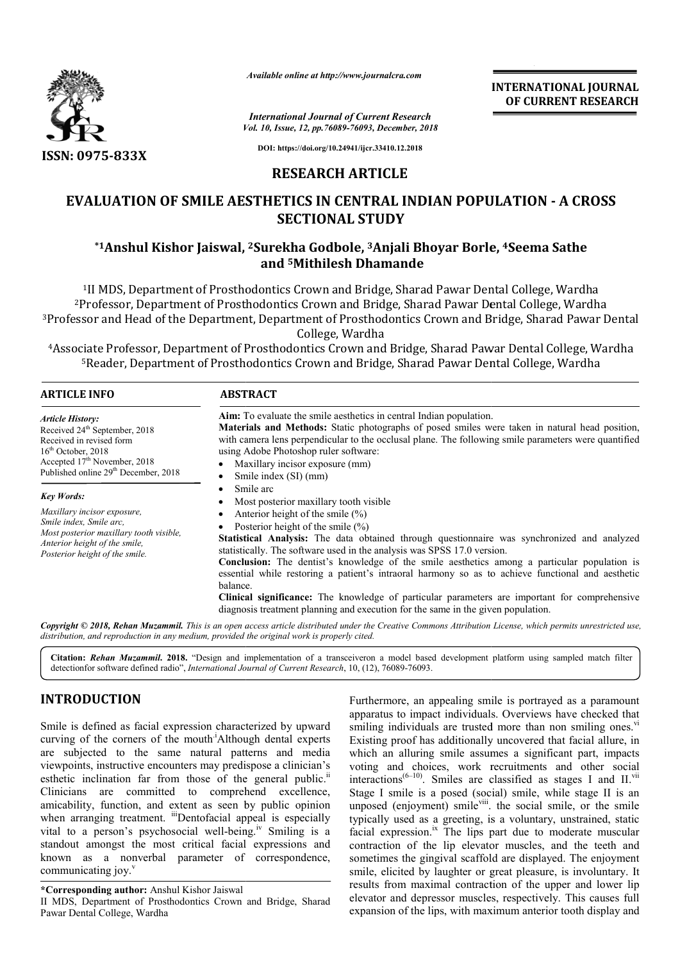

*Available online at http://www.journalcra.com*

# **RESEARCH ARTICLE**

# **EVALUATION OF SMILE AESTHETICS IN CENTRAL INDIAN POPULATION - A CROSS SECTIONAL STUDY**

# **\*1Anshul Kishor Jaiswal, , 2Surekha Godbole, 3Anjali Bhoyar Borle Borle, 4Seema Sathe and 5Mithilesh Dhamande**

|                                                                                                                                                                                                                                                                                                                                                                                                                                                                                                                                                                                                                                                                                                                                                                                                                                                                                         |                                                                                                                                                                                                                                                                      | <b>INTERNATIONAL JOURNAL</b><br>OF CURRENT RESEARCH                                                                                                                                                                                                                                                                                                                                                                                                                                                                                                                                                                                                                                                                                                                                                                                                                                                                                                                                                                                                                                                                                                                                                    |
|-----------------------------------------------------------------------------------------------------------------------------------------------------------------------------------------------------------------------------------------------------------------------------------------------------------------------------------------------------------------------------------------------------------------------------------------------------------------------------------------------------------------------------------------------------------------------------------------------------------------------------------------------------------------------------------------------------------------------------------------------------------------------------------------------------------------------------------------------------------------------------------------|----------------------------------------------------------------------------------------------------------------------------------------------------------------------------------------------------------------------------------------------------------------------|--------------------------------------------------------------------------------------------------------------------------------------------------------------------------------------------------------------------------------------------------------------------------------------------------------------------------------------------------------------------------------------------------------------------------------------------------------------------------------------------------------------------------------------------------------------------------------------------------------------------------------------------------------------------------------------------------------------------------------------------------------------------------------------------------------------------------------------------------------------------------------------------------------------------------------------------------------------------------------------------------------------------------------------------------------------------------------------------------------------------------------------------------------------------------------------------------------|
|                                                                                                                                                                                                                                                                                                                                                                                                                                                                                                                                                                                                                                                                                                                                                                                                                                                                                         | <b>International Journal of Current Research</b><br>Vol. 10, Issue, 12, pp.76089-76093, December, 2018                                                                                                                                                               |                                                                                                                                                                                                                                                                                                                                                                                                                                                                                                                                                                                                                                                                                                                                                                                                                                                                                                                                                                                                                                                                                                                                                                                                        |
| ISSN: 0975-833X                                                                                                                                                                                                                                                                                                                                                                                                                                                                                                                                                                                                                                                                                                                                                                                                                                                                         | DOI: https://doi.org/10.24941/ijcr.33410.12.2018                                                                                                                                                                                                                     |                                                                                                                                                                                                                                                                                                                                                                                                                                                                                                                                                                                                                                                                                                                                                                                                                                                                                                                                                                                                                                                                                                                                                                                                        |
|                                                                                                                                                                                                                                                                                                                                                                                                                                                                                                                                                                                                                                                                                                                                                                                                                                                                                         | <b>RESEARCH ARTICLE</b>                                                                                                                                                                                                                                              |                                                                                                                                                                                                                                                                                                                                                                                                                                                                                                                                                                                                                                                                                                                                                                                                                                                                                                                                                                                                                                                                                                                                                                                                        |
|                                                                                                                                                                                                                                                                                                                                                                                                                                                                                                                                                                                                                                                                                                                                                                                                                                                                                         |                                                                                                                                                                                                                                                                      | <b>EVALUATION OF SMILE AESTHETICS IN CENTRAL INDIAN POPULATION - A CROSS</b><br><b>SECTIONAL STUDY</b>                                                                                                                                                                                                                                                                                                                                                                                                                                                                                                                                                                                                                                                                                                                                                                                                                                                                                                                                                                                                                                                                                                 |
|                                                                                                                                                                                                                                                                                                                                                                                                                                                                                                                                                                                                                                                                                                                                                                                                                                                                                         |                                                                                                                                                                                                                                                                      | *1Anshul Kishor Jaiswal, <sup>2</sup> Surekha Godbole, <sup>3</sup> Anjali Bhoyar Borle, <sup>4</sup> Seema Sathe<br>and <sup>5</sup> Mithilesh Dhamande                                                                                                                                                                                                                                                                                                                                                                                                                                                                                                                                                                                                                                                                                                                                                                                                                                                                                                                                                                                                                                               |
|                                                                                                                                                                                                                                                                                                                                                                                                                                                                                                                                                                                                                                                                                                                                                                                                                                                                                         |                                                                                                                                                                                                                                                                      | <sup>1</sup> II MDS, Department of Prosthodontics Crown and Bridge, Sharad Pawar Dental College, Wardha<br><sup>2</sup> Professor, Department of Prosthodontics Crown and Bridge, Sharad Pawar Dental College, Wardha<br><sup>3</sup> Professor and Head of the Department, Department of Prosthodontics Crown and Bridge, Sharad Pawar Dental<br>College, Wardha<br><sup>4</sup> Associate Professor, Department of Prosthodontics Crown and Bridge, Sharad Pawar Dental College, Wardha<br><sup>5</sup> Reader, Department of Prosthodontics Crown and Bridge, Sharad Pawar Dental College, Wardha                                                                                                                                                                                                                                                                                                                                                                                                                                                                                                                                                                                                   |
| <b>ARTICLE INFO</b>                                                                                                                                                                                                                                                                                                                                                                                                                                                                                                                                                                                                                                                                                                                                                                                                                                                                     | <b>ABSTRACT</b>                                                                                                                                                                                                                                                      |                                                                                                                                                                                                                                                                                                                                                                                                                                                                                                                                                                                                                                                                                                                                                                                                                                                                                                                                                                                                                                                                                                                                                                                                        |
| <b>Article History:</b><br>Received 24 <sup>th</sup> September, 2018<br>Received in revised form<br>16 <sup>th</sup> October, 2018<br>Accepted 17 <sup>th</sup> November, 2018<br>Published online 29 <sup>th</sup> December, 2018<br>Key Words:<br>Maxillary incisor exposure,<br>Smile index, Smile arc,<br>Most posterior maxillary tooth visible,<br>Anterior height of the smile,<br>Posterior height of the smile.<br>distribution, and reproduction in any medium, provided the original work is properly cited.                                                                                                                                                                                                                                                                                                                                                                 | using Adobe Photoshop ruler software:<br>Maxillary incisor exposure (mm)<br>Smile index (SI) (mm)<br>٠<br>Smile arc<br>$\bullet$<br>Most posterior maxillary tooth visible<br>Anterior height of the smile (%)<br>٠<br>Posterior height of the smile (%)<br>balance. | Aim: To evaluate the smile aesthetics in central Indian population.<br>Materials and Methods: Static photographs of posed smiles were taken in natural head position,<br>with camera lens perpendicular to the occlusal plane. The following smile parameters were quantified<br>Statistical Analysis: The data obtained through questionnaire was synchronized and analyzed<br>statistically. The software used in the analysis was SPSS 17.0 version.<br><b>Conclusion:</b> The dentist's knowledge of the smile aesthetics among a particular population is<br>essential while restoring a patient's intraoral harmony so as to achieve functional and aesthetic<br>Clinical significance: The knowledge of particular parameters are important for comprehensive<br>diagnosis treatment planning and execution for the same in the given population.<br>Copyright © 2018, Rehan Muzammil. This is an open access article distributed under the Creative Commons Attribution License, which permits unrestricted use,<br>Citation: Rehan Muzammil. 2018. "Design and implementation of a transceiveron a model based development platform using sampled match filter                                |
| detectionfor software defined radio", International Journal of Current Research, 10, (12), 76089-76093.                                                                                                                                                                                                                                                                                                                                                                                                                                                                                                                                                                                                                                                                                                                                                                                 |                                                                                                                                                                                                                                                                      |                                                                                                                                                                                                                                                                                                                                                                                                                                                                                                                                                                                                                                                                                                                                                                                                                                                                                                                                                                                                                                                                                                                                                                                                        |
| <b>INTRODUCTION</b><br>Smile is defined as facial expression characterized by upward<br>curving of the corners of the mouth Although dental experts<br>are subjected to the same natural patterns and media<br>viewpoints, instructive encounters may predispose a clinician's<br>esthetic inclination far from those of the general public. <sup>ii</sup><br>Clinicians<br>amicability, function, and extent as seen by public opinion<br>when arranging treatment. "Dentofacial appeal is especially<br>vital to a person's psychosocial well-being. <sup>1v</sup> Smiling is a<br>standout amongst the most critical facial expressions and<br>known as a nonverbal parameter of correspondence,<br>communicating joy. <sup>v</sup><br>*Corresponding author: Anshul Kishor Jaiswal<br>II MDS, Department of Prosthodontics Crown and Bridge, Sharad<br>Pawar Dental College, Wardha | are committed to comprehend excellence,                                                                                                                                                                                                                              | Furthermore, an appealing smile is portrayed as a paramount<br>apparatus to impact individuals. Overviews have checked that<br>smiling individuals are trusted more than non smiling ones. <sup>vi</sup><br>Existing proof has additionally uncovered that facial allure, in<br>which an alluring smile assumes a significant part, impacts<br>voting and choices, work recruitments and other social<br>interactions <sup>(6-10)</sup> . Smiles are classified as stages I and II. <sup>vii</sup><br>Stage I smile is a posed (social) smile, while stage II is an<br>unposed (enjoyment) smile <sup>viii</sup> . the social smile, or the smile<br>typically used as a greeting, is a voluntary, unstrained, static<br>facial expression. <sup>ix</sup> The lips part due to moderate muscular<br>contraction of the lip elevator muscles, and the teeth and<br>sometimes the gingival scaffold are displayed. The enjoyment<br>smile, elicited by laughter or great pleasure, is involuntary. It<br>results from maximal contraction of the upper and lower lip<br>elevator and depressor muscles, respectively. This causes full<br>expansion of the lips, with maximum anterior tooth display and |

# **INTRODUCTION**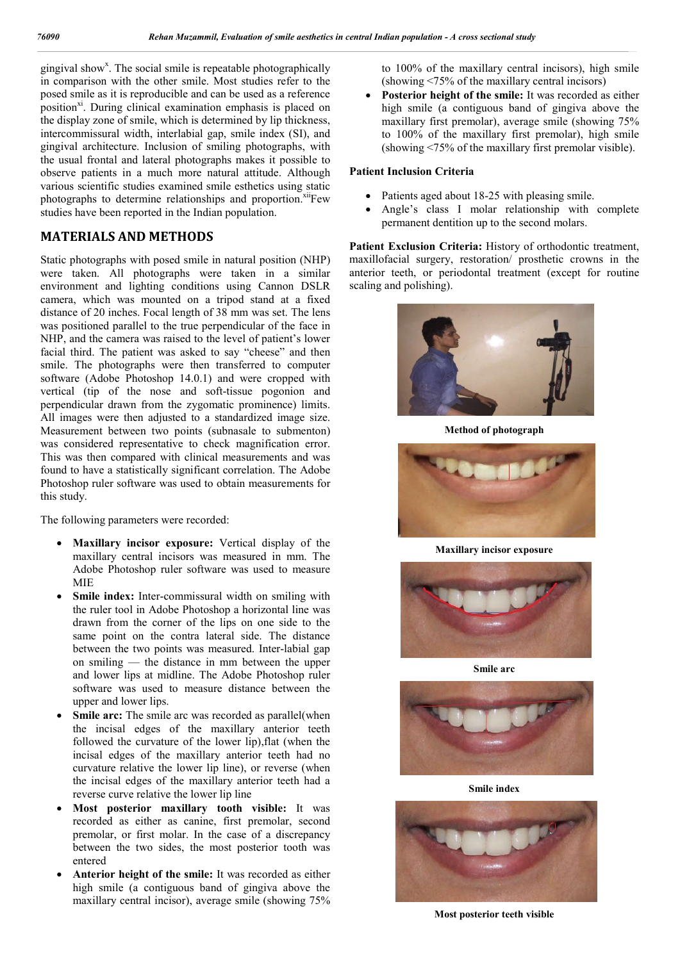gingival show<sup>x</sup>. The social smile is repeatable photographically in comparison with the other smile. Most studies refer to the posed smile as it is reproducible and can be used as a reference position<sup>xi</sup>. During clinical examination emphasis is placed on the display zone of smile, which is determined by lip thickness, intercommissural width, interlabial gap, smile index (SI), and gingival architecture. Inclusion of smiling photographs, with the usual frontal and lateral photographs makes it possible to observe patients in a much more natural attitude. Although various scientific studies examined smile esthetics using static photographs to determine relationships and proportion.<sup>xii</sup>Few studies have been reported in the Indian population.

## **MATERIALS AND METHODS**

Static photographs with posed smile in natural position (NHP) were taken. All photographs were taken in a similar environment and lighting conditions using Cannon DSLR camera, which was mounted on a tripod stand at a fixed distance of 20 inches. Focal length of 38 mm was set. The lens was positioned parallel to the true perpendicular of the face in NHP, and the camera was raised to the level of patient's lower facial third. The patient was asked to say "cheese" and then smile. The photographs were then transferred to computer software (Adobe Photoshop 14.0.1) and were cropped with vertical (tip of the nose and soft-tissue pogonion and perpendicular drawn from the zygomatic prominence) limits. All images were then adjusted to a standardized image size. Measurement between two points (subnasale to submenton) was considered representative to check magnification error. This was then compared with clinical measurements and was found to have a statistically significant correlation. The Adobe Photoshop ruler software was used to obtain measurements for this study.

The following parameters were recorded:

- **Maxillary incisor exposure:** Vertical display of the maxillary central incisors was measured in mm. The Adobe Photoshop ruler software was used to measure MIE
- **Smile index:** Inter-commissural width on smiling with the ruler tool in Adobe Photoshop a horizontal line was drawn from the corner of the lips on one side to the same point on the contra lateral side. The distance between the two points was measured. Inter-labial gap on smiling — the distance in mm between the upper and lower lips at midline. The Adobe Photoshop ruler software was used to measure distance between the upper and lower lips.
- **Smile arc:** The smile arc was recorded as parallel(when the incisal edges of the maxillary anterior teeth followed the curvature of the lower lip),flat (when the incisal edges of the maxillary anterior teeth had no curvature relative the lower lip line), or reverse (when the incisal edges of the maxillary anterior teeth had a reverse curve relative the lower lip line
- **Most posterior maxillary tooth visible:** It was recorded as either as canine, first premolar, second premolar, or first molar. In the case of a discrepancy between the two sides, the most posterior tooth was entered
- **Anterior height of the smile:** It was recorded as either high smile (a contiguous band of gingiva above the maxillary central incisor), average smile (showing 75%

to 100% of the maxillary central incisors), high smile (showing <75% of the maxillary central incisors)

 **Posterior height of the smile:** It was recorded as either high smile (a contiguous band of gingiva above the maxillary first premolar), average smile (showing 75% to 100% of the maxillary first premolar), high smile (showing <75% of the maxillary first premolar visible).

### **Patient Inclusion Criteria**

- Patients aged about 18-25 with pleasing smile.
- Angle's class I molar relationship with complete permanent dentition up to the second molars.

Patient Exclusion Criteria: History of orthodontic treatment, maxillofacial surgery, restoration/ prosthetic crowns in the anterior teeth, or periodontal treatment (except for routine scaling and polishing).



**Method of photograph**



**Maxillary incisor exposure**



**Smile arc**



**Smile index**



**Most posterior teeth visible**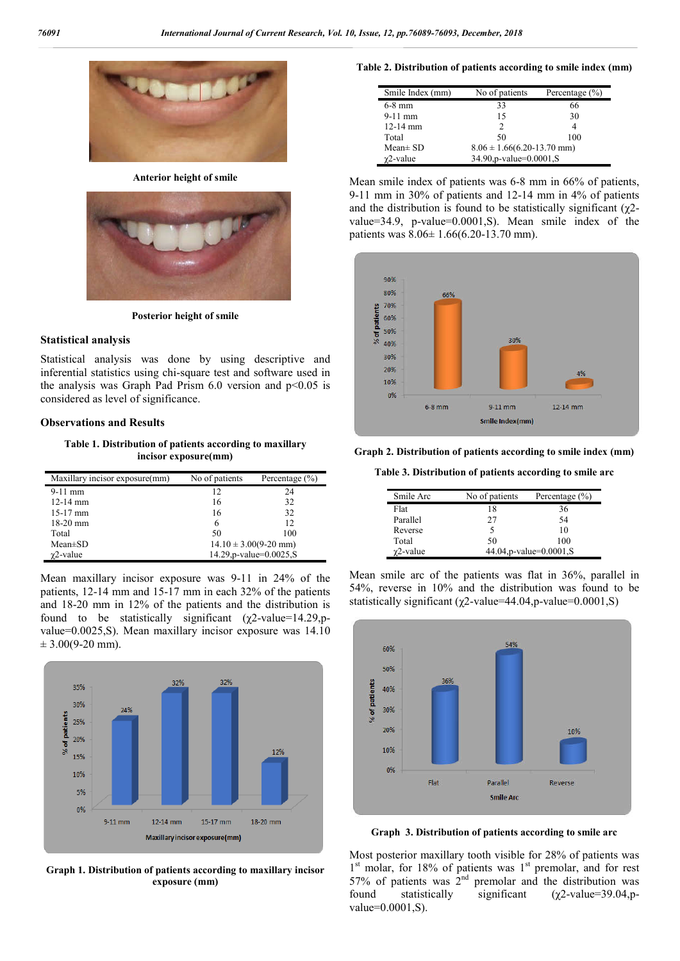

**Anterior height of smile**



**Posterior height of smile**

#### **Statistical analysis**

Statistical analysis was done by using descriptive and inferential statistics using chi-square test and software used in the analysis was Graph Pad Prism  $6.0$  version and  $p<0.05$  is considered as level of significance.

#### **Observations and Results**

**Table 1. Distribution of patients according to maxillary incisor exposure(mm)**

| Maxillary incisor exposure(mm) | No of patients            | Percentage $(\% )$ |
|--------------------------------|---------------------------|--------------------|
| $9-11$ mm                      | 12                        | 24                 |
| $12-14$ mm                     | 16                        | 32                 |
| $15-17$ mm                     | 16                        | 32                 |
| $18-20$ mm                     | 6                         | 12                 |
| Total                          | 50                        | 100                |
| $Mean \pm SD$                  | $14.10 \pm 3.00(9-20$ mm) |                    |
| $\gamma$ 2-value               | 14.29, p-value=0.0025, S  |                    |

Mean maxillary incisor exposure was 9-11 in 24% of the patients, 12-14 mm and 15-17 mm in each 32% of the patients and 18-20 mm in 12% of the patients and the distribution is found to be statistically significant ( $\gamma$ 2-value=14.29,pvalue=0.0025,S). Mean maxillary incisor exposure was 14.10  $\pm$  3.00(9-20 mm).



**Graph 1. Distribution of patients according to maxillary incisor exposure (mm)**

#### **Table 2. Distribution of patients according to smile index (mm)**

| Smile Index (mm) | No of patients                   | Percentage $(\% )$ |
|------------------|----------------------------------|--------------------|
| $6-8$ mm         | 33                               | 66                 |
| $9-11$ mm        | 15                               | 30                 |
| $12-14$ mm       |                                  |                    |
| Total            | 50                               | 100                |
| Mean $\pm$ SD    | $8.06 \pm 1.66(6.20 - 13.70$ mm) |                    |
| $\gamma$ 2-value | 34.90, p-value=0.0001, S         |                    |

Mean smile index of patients was 6-8 mm in 66% of patients, 9-11 mm in 30% of patients and 12-14 mm in 4% of patients and the distribution is found to be statistically significant  $(\gamma 2$ value=34.9, p-value=0.0001,S). Mean smile index of the patients was 8.06± 1.66(6.20-13.70 mm).



**Graph 2. Distribution of patients according to smile index (mm)**

**Table 3. Distribution of patients according to smile arc**

| Smile Arc        | No of patients | Percentage $(\% )$           |
|------------------|----------------|------------------------------|
| Flat             | 18             | 36                           |
| Parallel         | 27             | 54                           |
| Reverse          |                | 10                           |
| Total            | 50             | 100                          |
| $\gamma$ 2-value |                | 44.04, p-value= $0.0001$ , S |

Mean smile arc of the patients was flat in 36%, parallel in 54%, reverse in 10% and the distribution was found to be statistically significant ( $\chi$ 2-value=44.04,p-value=0.0001,S)



**Graph 3. Distribution of patients according to smile arc**

Most posterior maxillary tooth visible for 28% of patients was  $1<sup>st</sup>$  molar, for 18% of patients was  $1<sup>st</sup>$  premolar, and for rest 57% of patients was  $2<sup>nd</sup>$  premolar and the distribution was found statistically significant (χ2-value=39.04,pvalue=0.0001,S).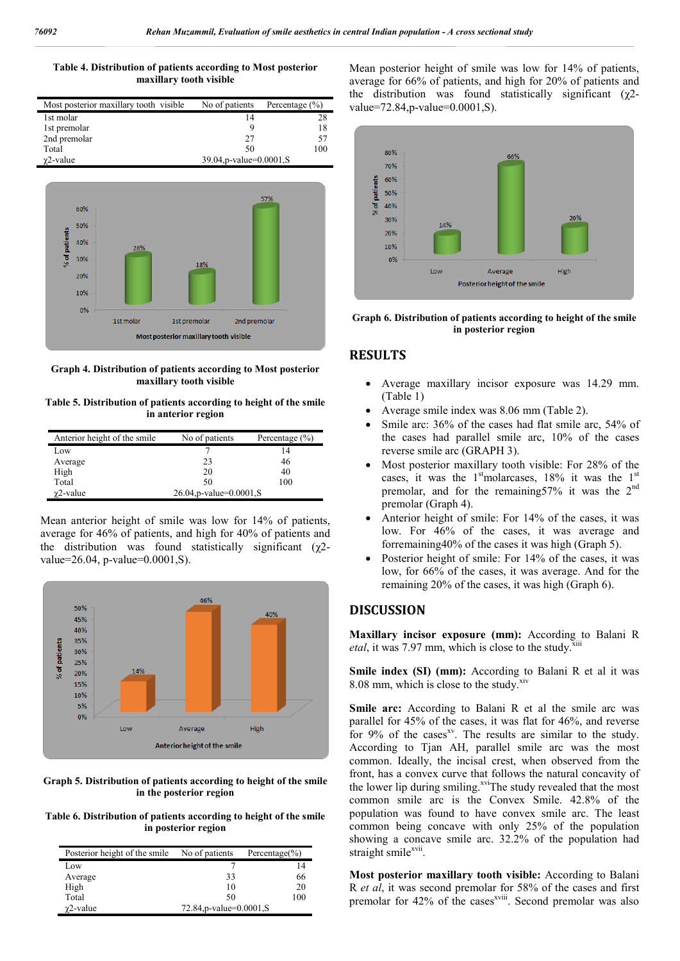#### **Table 4. Distribution of patients according to Most posterior maxillary tooth visible**

| Most posterior maxillary tooth visible           | No of patients | Percentage $(\% )$ |
|--------------------------------------------------|----------------|--------------------|
| 1st molar                                        | 14             | 28                 |
| 1st premolar                                     | Q              | 18                 |
| 2nd premolar                                     | 27             | 57                 |
| Total                                            | 50             | 100                |
| 39.04, p-value= $0.0001$ , S<br>$\gamma$ 2-value |                |                    |



**Graph 4. Distribution of patients according to Most posterior maxillary tooth visible**

**Table 5. Distribution of patients according to height of the smile in anterior region**

| Anterior height of the smile | No of patients                  | Percentage $(\% )$ |
|------------------------------|---------------------------------|--------------------|
| Low                          |                                 | 14                 |
| Average                      | 23                              | 46                 |
| High                         | 20                              | 40                 |
| Total                        | 50                              | 100                |
| $\gamma$ 2-value             | $26.04$ , p-value= $0.0001$ , S |                    |

Mean anterior height of smile was low for 14% of patients, average for 46% of patients, and high for 40% of patients and the distribution was found statistically significant  $(\gamma^2 - \gamma^2)$ value=26.04, p-value=0.0001,S).



**Graph 5. Distribution of patients according to height of the smile in the posterior region**

**Table 6. Distribution of patients according to height of the smile in posterior region**

| Posterior height of the smile | No of patients               | Percentage $(\% )$ |
|-------------------------------|------------------------------|--------------------|
| Low                           |                              | 14                 |
| Average                       | 33                           | 66                 |
| High                          | 10                           | 20                 |
| Total                         | 50                           | 100                |
| $\gamma$ 2-value              | 72.84, p-value= $0.0001$ , S |                    |

Mean posterior height of smile was low for 14% of patients, average for 66% of patients, and high for 20% of patients and the distribution was found statistically significant (χ2 value=72.84,p-value=0.0001,S).



**Graph 6. Distribution of patients according to height of the smile in posterior region**

## **RESULTS**

- Average maxillary incisor exposure was 14.29 mm. (Table 1)
- Average smile index was 8.06 mm (Table 2).
- Smile arc: 36% of the cases had flat smile arc, 54% of the cases had parallel smile arc, 10% of the cases reverse smile arc (GRAPH 3).
- Most posterior maxillary tooth visible: For 28% of the cases, it was the  $1<sup>st</sup>$ molarcases,  $18\%$  it was the  $1<sup>st</sup>$ premolar, and for the remaining57% it was the 2nd premolar (Graph 4).
- Anterior height of smile: For 14% of the cases, it was low. For 46% of the cases, it was average and forremaining40% of the cases it was high (Graph 5).
- Posterior height of smile: For 14% of the cases, it was low, for 66% of the cases, it was average. And for the remaining 20% of the cases, it was high (Graph 6).

## **DISCUSSION**

**Maxillary incisor exposure (mm):** According to Balani R *etal*, it was 7.97 mm, which is close to the study.<sup>3</sup>

**Smile index (SI) (mm):** According to Balani R et al it was 8.08 mm, which is close to the study.<sup>xiv</sup>

Smile arc: According to Balani R et al the smile arc was parallel for 45% of the cases, it was flat for 46%, and reverse for 9% of the cases<sup>xy</sup>. The results are similar to the study. According to Tjan AH, parallel smile arc was the most common. Ideally, the incisal crest, when observed from the front, has a convex curve that follows the natural concavity of the lower lip during smiling.<sup>xvi</sup>The study revealed that the most common smile arc is the Convex Smile. 42.8% of the population was found to have convex smile arc. The least common being concave with only 25% of the population showing a concave smile arc. 32.2% of the population had straight smile<sup>xvii</sup>.

**Most posterior maxillary tooth visible:** According to Balani R *et al*, it was second premolar for 58% of the cases and first premolar for 42% of the cases<sup>xviii</sup>. Second premolar was also